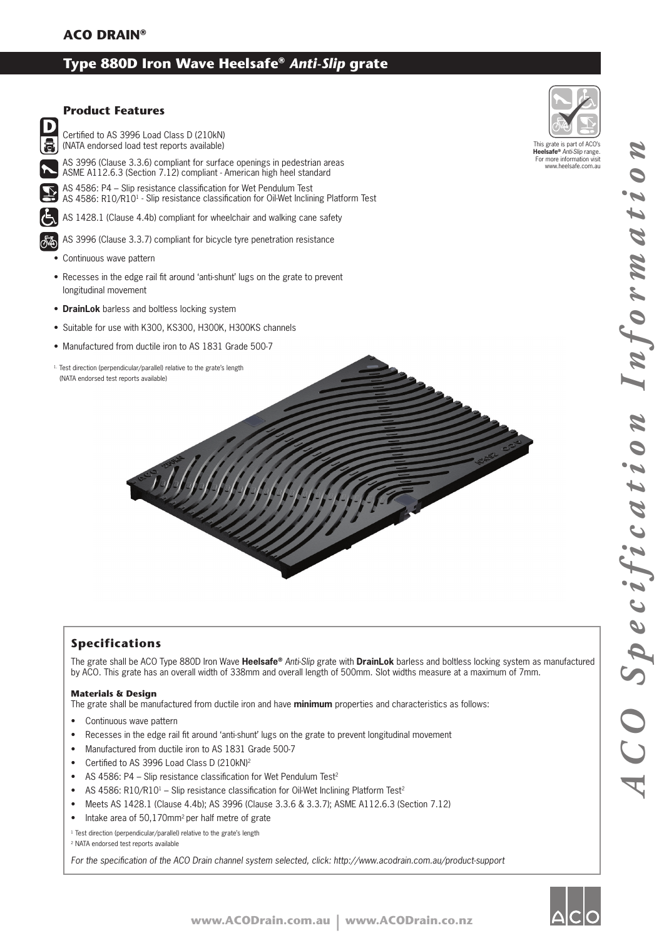# **Type 880D Iron Wave Heelsafe®** *Anti-Slip* **grate**



### **Specifications**

The grate shall be ACO Type 880D Iron Wave **Heelsafe®** *Anti-Slip* grate with **DrainLok** barless and boltless locking system as manufactured by ACO. This grate has an overall width of 338mm and overall length of 500mm. Slot widths measure at a maximum of 7mm.

#### **Materials & Design**

The grate shall be manufactured from ductile iron and have **minimum** properties and characteristics as follows:

- Continuous wave pattern
- Recesses in the edge rail fit around 'anti-shunt' lugs on the grate to prevent longitudinal movement
- Manufactured from ductile iron to AS 1831 Grade 500-7
- Certified to AS 3996 Load Class D (210kN)<sup>2</sup>
- AS 4586: P4 Slip resistance classification for Wet Pendulum Test<sup>2</sup>
- AS 4586: R10/R10<sup>1</sup> Slip resistance classification for Oil-Wet Inclining Platform Test<sup>2</sup>
- Meets AS 1428.1 (Clause 4.4b); AS 3996 (Clause 3.3.6 & 3.3.7); ASME A112.6.3 (Section 7.12)
- Intake area of 50,170mm<sup>2</sup> per half metre of grate

<sup>1</sup> Test direction (perpendicular/parallel) relative to the grate's length

2 NATA endorsed test reports available

For the specification of the ACO Drain channel system selected, click: http://www.acodrain.com.au/product-support

O Z

ACO Specificat